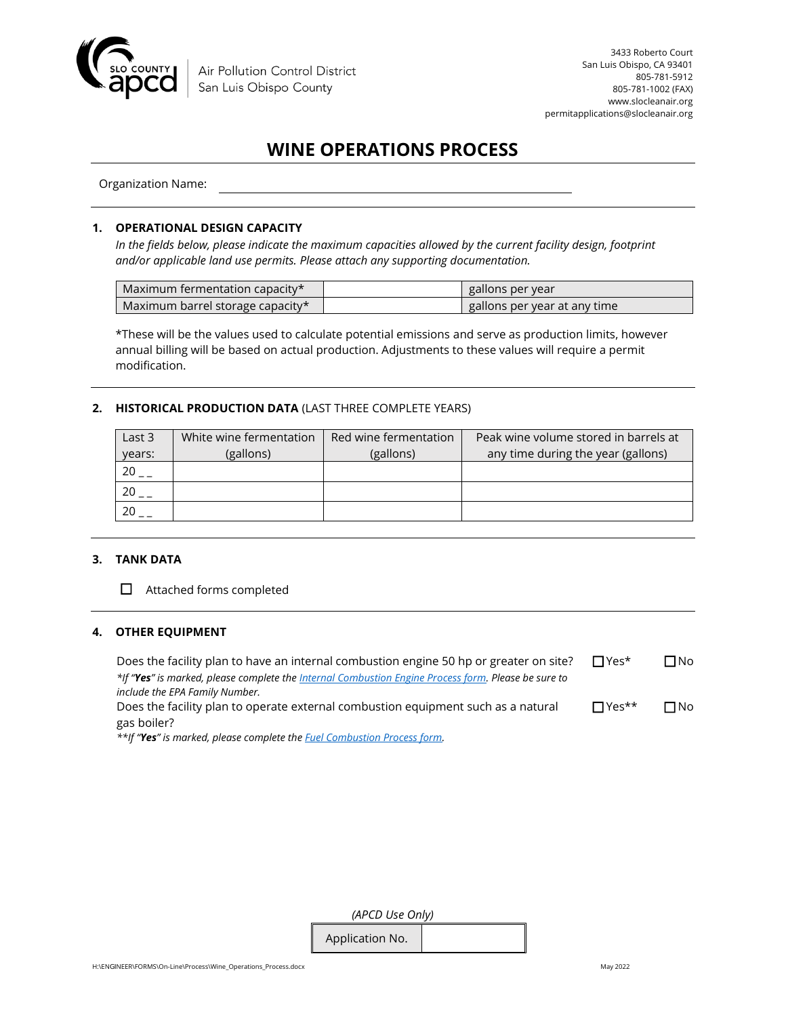

## **WINE OPERATIONS PROCESS**

Organization Name:

#### **1. OPERATIONAL DESIGN CAPACITY**

*In the fields below, please indicate the maximum capacities allowed by the current facility design, footprint and/or applicable land use permits. Please attach any supporting documentation.* 

| Maximum fermentation capacity $\star$ | gallons per year             |
|---------------------------------------|------------------------------|
| Maximum barrel storage capacity*      | gallons per year at any time |

\*These will be the values used to calculate potential emissions and serve as production limits, however annual billing will be based on actual production. Adjustments to these values will require a permit modification.

#### **2. HISTORICAL PRODUCTION DATA** (LAST THREE COMPLETE YEARS)

| Last 3 | White wine fermentation | Red wine fermentation | Peak wine volume stored in barrels at |
|--------|-------------------------|-----------------------|---------------------------------------|
| years: | (gallons)               | (gallons)             | any time during the year (gallons)    |
|        |                         |                       |                                       |
|        |                         |                       |                                       |
|        |                         |                       |                                       |

#### **3. TANK DATA**

☐ Attached forms completed

#### **4. OTHER EQUIPMENT**

| Does the facility plan to have an internal combustion engine 50 hp or greater on site?              | $\Box$ Yes*  | $\Box$ No |
|-----------------------------------------------------------------------------------------------------|--------------|-----------|
| *If "Yes" is marked, please complete the Internal Combustion Engine Process form. Please be sure to |              |           |
| include the EPA Family Number.                                                                      |              |           |
| Does the facility plan to operate external combustion equipment such as a natural                   | $\Box$ Yes** | $\Box$ No |
| gas boiler?                                                                                         |              |           |

*\*\*If "Yes" is marked, please complete the [Fuel Combustion Process form.](https://storage.googleapis.com/slocleanair-org/images/cms/upload/files/fuelcomb2.pdf)*

| (APCD Use Only) |  |  |  |  |
|-----------------|--|--|--|--|
| Application No. |  |  |  |  |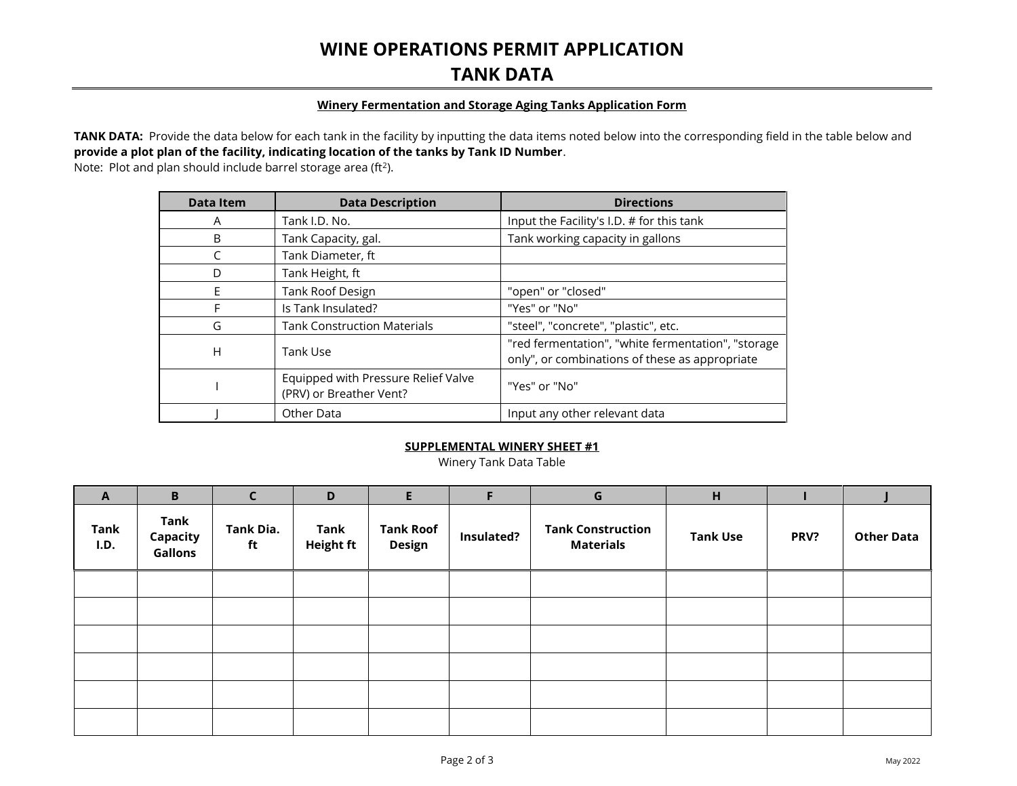### **WINE OPERATIONS PERMIT APPLICATION TANK DATA**

#### **Winery Fermentation and Storage Aging Tanks Application Form**

TANK DATA: Provide the data below for each tank in the facility by inputting the data items noted below into the corresponding field in the table below and **provide a plot plan of the facility, indicating location of the tanks by Tank ID Number**.

Note: Plot and plan should include barrel storage area (ft<sup>2</sup>).

| <b>Data Item</b> | <b>Data Description</b>                                        | <b>Directions</b>                                                                                    |
|------------------|----------------------------------------------------------------|------------------------------------------------------------------------------------------------------|
| A                | Tank I.D. No.                                                  | Input the Facility's I.D. # for this tank                                                            |
| B                | Tank Capacity, gal.                                            | Tank working capacity in gallons                                                                     |
| C                | Tank Diameter, ft                                              |                                                                                                      |
| D                | Tank Height, ft                                                |                                                                                                      |
| E                | <b>Tank Roof Design</b>                                        | "open" or "closed"                                                                                   |
| F                | Is Tank Insulated?                                             | "Yes" or "No"                                                                                        |
| G                | <b>Tank Construction Materials</b>                             | "steel", "concrete", "plastic", etc.                                                                 |
| H                | Tank Use                                                       | "red fermentation", "white fermentation", "storage<br>only", or combinations of these as appropriate |
|                  | Equipped with Pressure Relief Valve<br>(PRV) or Breather Vent? | "Yes" or "No"                                                                                        |
|                  | Other Data                                                     | Input any other relevant data                                                                        |

### **SUPPLEMENTAL WINERY SHEET #1**

Winery Tank Data Table

| $\mathbf{A}$        | B                           | $\overline{C}$  | D                               | E.                         | F          | $\mathsf{G}$                                 | H               |      |                   |
|---------------------|-----------------------------|-----------------|---------------------------------|----------------------------|------------|----------------------------------------------|-----------------|------|-------------------|
| <b>Tank</b><br>I.D. | Tank<br>Capacity<br>Gallons | Tank Dia.<br>ft | <b>Tank</b><br><b>Height ft</b> | <b>Tank Roof</b><br>Design | Insulated? | <b>Tank Construction</b><br><b>Materials</b> | <b>Tank Use</b> | PRV? | <b>Other Data</b> |
|                     |                             |                 |                                 |                            |            |                                              |                 |      |                   |
|                     |                             |                 |                                 |                            |            |                                              |                 |      |                   |
|                     |                             |                 |                                 |                            |            |                                              |                 |      |                   |
|                     |                             |                 |                                 |                            |            |                                              |                 |      |                   |
|                     |                             |                 |                                 |                            |            |                                              |                 |      |                   |
|                     |                             |                 |                                 |                            |            |                                              |                 |      |                   |